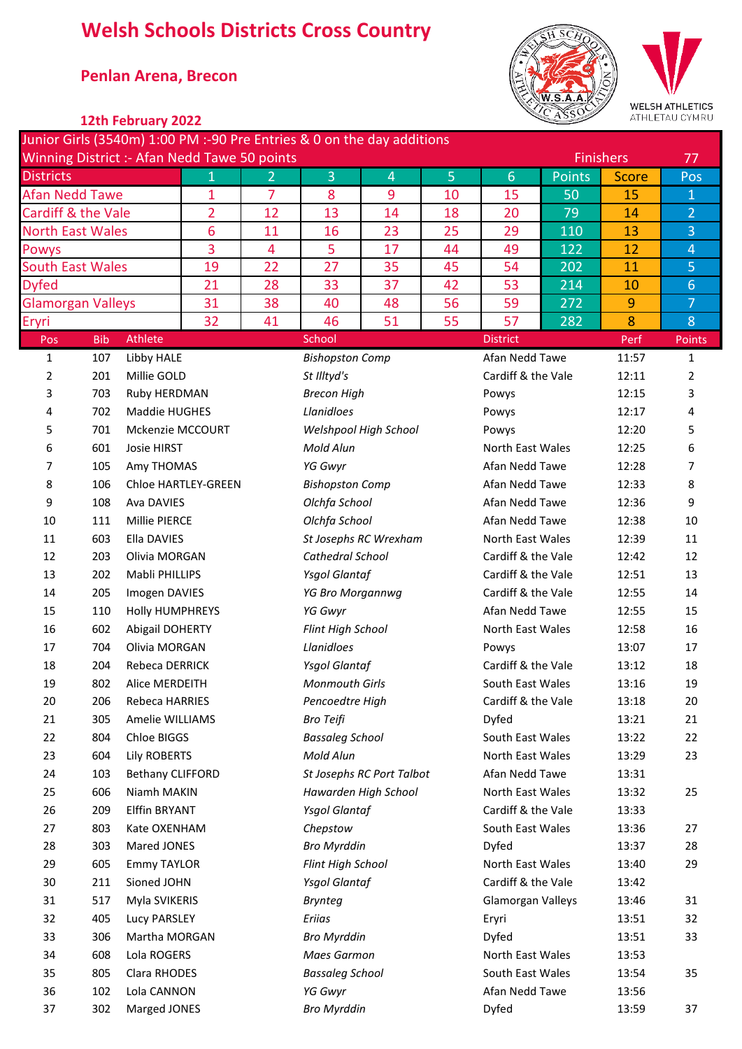# **Welsh Schools Districts Cross Country**

## \* **Penlan Arena, Brecon**



### **\* 12th February 2022**

|                                              |            |                         |                |                |                        | Junior Girls (3540m) 1:00 PM :-90 Pre Entries & 0 on the day additions |                |                    |               |                  |                |
|----------------------------------------------|------------|-------------------------|----------------|----------------|------------------------|------------------------------------------------------------------------|----------------|--------------------|---------------|------------------|----------------|
| Winning District :- Afan Nedd Tawe 50 points |            |                         |                |                |                        |                                                                        |                |                    |               | <b>Finishers</b> | 77             |
| <b>Districts</b>                             |            |                         | $\mathbf{1}$   | $\overline{2}$ | 3                      | $\overline{4}$                                                         | 5 <sup>1</sup> | 6                  | <b>Points</b> | <b>Score</b>     | Pos            |
| <b>Afan Nedd Tawe</b>                        |            |                         | 1              | $\overline{7}$ | 8                      | 9                                                                      | 10             | 15                 | 50            | 15               | $\mathbf{1}$   |
| Cardiff & the Vale                           |            |                         | $\overline{2}$ | 12             | 13                     | 14                                                                     | 18             | 20                 | 79            | 14               | $\overline{2}$ |
| <b>North East Wales</b>                      |            |                         | 6              | 11             | 16                     | 23                                                                     | 25             | 29                 | 110           | 13               | $\overline{3}$ |
| Powys                                        |            |                         | 3              | $\overline{4}$ | 5                      | 17                                                                     | 44             | 49                 | 122           | 12               | $\overline{4}$ |
| <b>South East Wales</b>                      |            |                         | 19             | 22             | 27                     | 35                                                                     | 45             | 54                 | 202           | 11               | 5              |
| <b>Dyfed</b>                                 |            |                         | 21             | 28             | 33                     | 37                                                                     | 42             | 53                 | 214           | 10               | $6\phantom{a}$ |
| <b>Glamorgan Valleys</b>                     |            |                         | 31             | 38             | 40                     | 48                                                                     | 56             | 59                 | 272           | $\overline{9}$   | $\overline{7}$ |
| Eryri                                        |            |                         | 32             | 41             | 46                     | 51                                                                     | 55             | 57                 | 282           | 8                | 8              |
| Pos                                          | <b>Bib</b> | Athlete                 |                |                | School                 |                                                                        |                | <b>District</b>    |               | Perf             | <b>Points</b>  |
| $\mathbf{1}$                                 | 107        | Libby HALE              |                |                | <b>Bishopston Comp</b> |                                                                        |                | Afan Nedd Tawe     |               | 11:57            | $\mathbf{1}$   |
| 2                                            | 201        | Millie GOLD             |                |                | St Illtyd's            |                                                                        |                | Cardiff & the Vale |               | 12:11            | 2              |
| 3                                            | 703        | Ruby HERDMAN            |                |                | <b>Brecon High</b>     |                                                                        |                | Powys              |               | 12:15            | 3              |
| 4                                            | 702        | Maddie HUGHES           |                |                | Llanidloes             |                                                                        |                | Powys              |               | 12:17            | 4              |
| 5                                            | 701        | Mckenzie MCCOURT        |                |                |                        | Welshpool High School                                                  |                | Powys              |               | 12:20            | 5              |
| 6                                            | 601        | Josie HIRST             |                |                | Mold Alun              |                                                                        |                | North East Wales   |               | 12:25            | 6              |
| 7                                            | 105        | Amy THOMAS              |                |                | YG Gwyr                |                                                                        |                | Afan Nedd Tawe     |               | 12:28            | 7              |
| 8                                            | 106        | Chloe HARTLEY-GREEN     |                |                | <b>Bishopston Comp</b> |                                                                        |                | Afan Nedd Tawe     |               | 12:33            | 8              |
| 9                                            | 108        | Ava DAVIES              |                |                | Olchfa School          |                                                                        |                | Afan Nedd Tawe     |               | 12:36            | 9              |
| 10                                           | 111        | Millie PIERCE           |                |                | Olchfa School          |                                                                        |                | Afan Nedd Tawe     |               | 12:38            | 10             |
| 11                                           | 603        | Ella DAVIES             |                |                |                        | St Josephs RC Wrexham                                                  |                | North East Wales   |               | 12:39            | 11             |
| 12                                           | 203        | Olivia MORGAN           |                |                | Cathedral School       |                                                                        |                | Cardiff & the Vale |               | 12:42            | 12             |
| 13                                           | 202        | Mabli PHILLIPS          |                |                | <b>Ysgol Glantaf</b>   |                                                                        |                | Cardiff & the Vale |               | 12:51            | 13             |
| 14                                           | 205        | Imogen DAVIES           |                |                | YG Bro Morgannwg       |                                                                        |                | Cardiff & the Vale |               | 12:55            | 14             |
| 15                                           | 110        | Holly HUMPHREYS         |                |                | YG Gwyr                |                                                                        |                | Afan Nedd Tawe     |               | 12:55            | 15             |
| 16                                           | 602        | Abigail DOHERTY         |                |                | Flint High School      |                                                                        |                | North East Wales   |               | 12:58            | 16             |
| 17                                           | 704        | Olivia MORGAN           |                |                | Llanidloes             |                                                                        |                | Powys              |               | 13:07            | 17             |
| 18                                           | 204        | Rebeca DERRICK          |                |                | <b>Ysgol Glantaf</b>   |                                                                        |                | Cardiff & the Vale |               | 13:12            | 18             |
| 19                                           | 802        | Alice MERDEITH          |                |                | <b>Monmouth Girls</b>  |                                                                        |                | South East Wales   |               | 13:16            | 19             |
| 20                                           | 206        | Rebeca HARRIES          |                |                | Pencoedtre High        |                                                                        |                | Cardiff & the Vale |               | 13:18            | 20             |
| 21                                           | 305        | Amelie WILLIAMS         |                |                | <b>Bro Teifi</b>       |                                                                        |                | Dyfed              |               | 13:21            | 21             |
| 22                                           | 804        | Chloe BIGGS             |                |                | <b>Bassaleg School</b> |                                                                        |                | South East Wales   |               | 13:22            | 22             |
| 23                                           | 604        | Lily ROBERTS            |                |                | Mold Alun              |                                                                        |                | North East Wales   |               | 13:29            | 23             |
| 24                                           | 103        | <b>Bethany CLIFFORD</b> |                |                |                        | St Josephs RC Port Talbot                                              |                | Afan Nedd Tawe     |               | 13:31            |                |
| 25                                           | 606        | Niamh MAKIN             |                |                | Hawarden High School   |                                                                        |                | North East Wales   |               | 13:32            | 25             |
| 26                                           | 209        | <b>Elffin BRYANT</b>    |                |                | <b>Ysgol Glantaf</b>   |                                                                        |                | Cardiff & the Vale |               | 13:33            |                |
| 27                                           | 803        | Kate OXENHAM            |                |                | Chepstow               |                                                                        |                | South East Wales   |               | 13:36            | 27             |
| 28                                           | 303        | Mared JONES             |                |                | <b>Bro Myrddin</b>     |                                                                        |                | Dyfed              |               | 13:37            | 28             |
| 29                                           | 605        | <b>Emmy TAYLOR</b>      |                |                | Flint High School      |                                                                        |                | North East Wales   |               | 13:40            | 29             |
| 30                                           | 211        | Sioned JOHN             |                |                | <b>Ysgol Glantaf</b>   |                                                                        |                | Cardiff & the Vale |               | 13:42            |                |
| 31                                           | 517        | Myla SVIKERIS           |                |                | <b>Brynteg</b>         |                                                                        |                | Glamorgan Valleys  |               | 13:46            | 31             |
| 32                                           | 405        | Lucy PARSLEY            |                |                | Eriias                 |                                                                        |                | Eryri              |               | 13:51            | 32             |
| 33                                           | 306        | Martha MORGAN           |                |                | <b>Bro Myrddin</b>     |                                                                        |                | Dyfed              |               | 13:51            | 33             |
| 34                                           | 608        | Lola ROGERS             |                |                | Maes Garmon            |                                                                        |                | North East Wales   |               | 13:53            |                |
| 35                                           | 805        | Clara RHODES            |                |                | <b>Bassaleg School</b> |                                                                        |                | South East Wales   |               | 13:54            | 35             |
| 36                                           | 102        | Lola CANNON             |                |                | YG Gwyr                |                                                                        |                | Afan Nedd Tawe     |               | 13:56            |                |
| 37                                           | 302        | Marged JONES            |                |                | <b>Bro Myrddin</b>     |                                                                        |                | Dyfed              |               | 13:59            | 37             |
|                                              |            |                         |                |                |                        |                                                                        |                |                    |               |                  |                |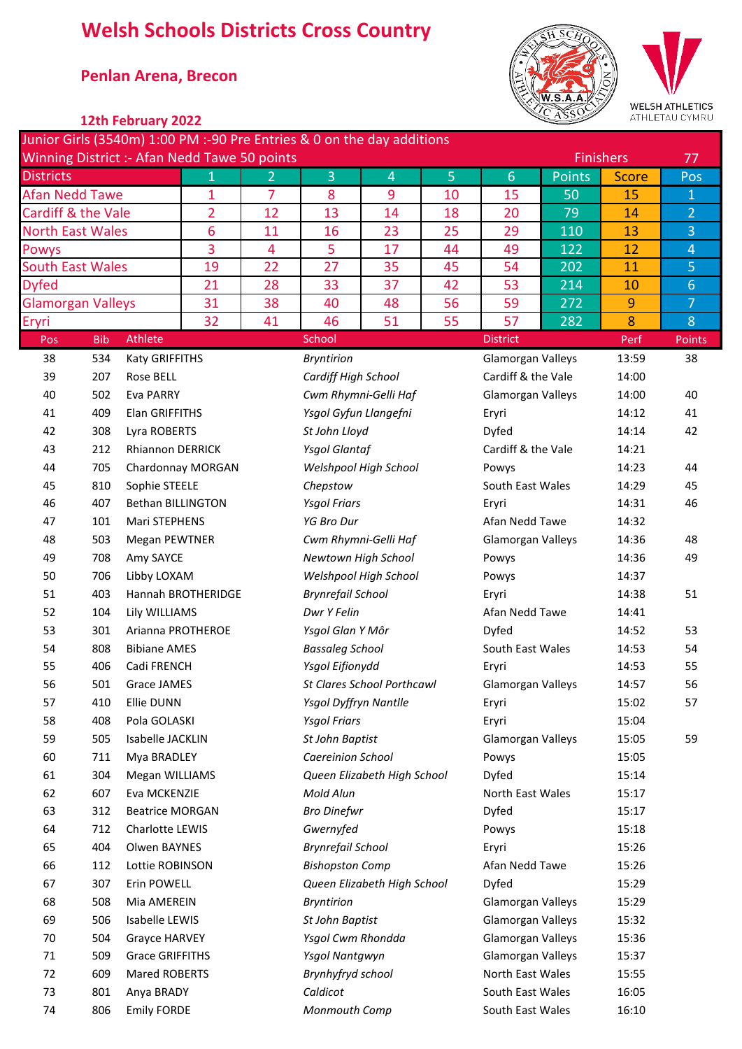# **Welsh Schools Districts Cross Country**

## \* **Penlan Arena, Brecon**



### **\* 12th February 2022**

| Junior Girls (3540m) 1:00 PM :-90 Pre Entries & 0 on the day additions |            |                          |                   |                |                          |                                   |                |                    |        |                  |                |
|------------------------------------------------------------------------|------------|--------------------------|-------------------|----------------|--------------------------|-----------------------------------|----------------|--------------------|--------|------------------|----------------|
| Winning District :- Afan Nedd Tawe 50 points                           |            |                          |                   |                |                          |                                   |                |                    |        | <b>Finishers</b> | 77             |
| <b>Districts</b>                                                       |            |                          | 1                 | $\overline{2}$ | 3                        | 4                                 | $\overline{5}$ | 6                  | Points | <b>Score</b>     | Pos            |
| <b>Afan Nedd Tawe</b>                                                  |            |                          | 1                 | $\overline{7}$ | 8                        | 9                                 | 10             | 15                 | 50     | 15               | $\mathbf{1}$   |
| Cardiff & the Vale                                                     |            |                          | $\overline{2}$    | 12             | 13                       | 14                                | 18             | 20                 | 79     | 14               | $\overline{2}$ |
| <b>North East Wales</b>                                                |            |                          | $6\phantom{1}6$   | 11             | 16                       | 23                                | 25             | 29                 | 110    | 13               | 3              |
| <b>Powys</b>                                                           |            |                          | 3                 | 4              | 5                        | 17                                | 44             | 49                 | 122    | 12               | $\overline{4}$ |
| <b>South East Wales</b>                                                |            |                          | 19                | 22             | 27                       | 35                                | 45             | 54                 | 202    | 11               | 5              |
| <b>Dyfed</b>                                                           |            |                          | 21                | 28             | 33                       | 37                                | 42             | 53                 | 214    | 10               | $6\phantom{a}$ |
| <b>Glamorgan Valleys</b>                                               |            |                          | 31                | 38             | 40                       | 48                                | 56             | 59                 | 272    | 9                | 7              |
| Eryri                                                                  |            |                          | 32                | 41             | 46                       | 51                                | 55             | 57                 | 282    | 8                | 8              |
| Pos                                                                    | <b>Bib</b> | Athlete                  |                   |                | School                   |                                   |                | <b>District</b>    |        | Perf             | Points         |
| 38                                                                     | 534        | Katy GRIFFITHS           |                   |                | <b>Bryntirion</b>        |                                   |                | Glamorgan Valleys  |        | 13:59            | 38             |
| 39                                                                     | 207        | Rose BELL                |                   |                | Cardiff High School      |                                   |                | Cardiff & the Vale |        | 14:00            |                |
| 40                                                                     | 502        | Eva PARRY                |                   |                |                          | Cwm Rhymni-Gelli Haf              |                | Glamorgan Valleys  |        | 14:00            | 40             |
| 41                                                                     | 409        | Elan GRIFFITHS           |                   |                | Ysgol Gyfun Llangefni    |                                   |                | Eryri              |        | 14:12            | 41             |
| 42                                                                     | 308        | Lyra ROBERTS             |                   |                | St John Lloyd            |                                   |                | Dyfed              |        | 14:14            | 42             |
| 43                                                                     | 212        | <b>Rhiannon DERRICK</b>  |                   |                | <b>Ysgol Glantaf</b>     |                                   |                | Cardiff & the Vale |        | 14:21            |                |
| 44                                                                     | 705        |                          | Chardonnay MORGAN |                |                          | Welshpool High School             |                | Powys              |        | 14:23            | 44             |
| 45                                                                     | 810        | Sophie STEELE            |                   |                | Chepstow                 |                                   |                | South East Wales   |        | 14:29            | 45             |
| 46                                                                     | 407        | <b>Bethan BILLINGTON</b> |                   |                | <b>Ysgol Friars</b>      |                                   |                | Eryri              |        | 14:31            | 46             |
| 47                                                                     | 101        | Mari STEPHENS            |                   |                | <b>YG Bro Dur</b>        |                                   |                | Afan Nedd Tawe     |        | 14:32            |                |
| 48                                                                     | 503        | <b>Megan PEWTNER</b>     |                   |                |                          | Cwm Rhymni-Gelli Haf              |                | Glamorgan Valleys  |        | 14:36            | 48             |
| 49                                                                     | 708        | Amy SAYCE                |                   |                | Newtown High School      |                                   |                | Powys              |        | 14:36            | 49             |
| 50                                                                     | 706        | Libby LOXAM              |                   |                |                          | Welshpool High School             |                | Powys              |        | 14:37            |                |
| 51                                                                     | 403        | Hannah BROTHERIDGE       |                   |                | <b>Brynrefail School</b> |                                   |                | Eryri              |        | 14:38            | 51             |
| 52                                                                     | 104        | Lily WILLIAMS            |                   |                | Dwr Y Felin              |                                   |                | Afan Nedd Tawe     |        | 14:41            |                |
| 53                                                                     | 301        | Arianna PROTHEROE        |                   |                | Ysgol Glan Y Môr         |                                   |                | Dyfed              |        | 14:52            | 53             |
| 54                                                                     | 808        | <b>Bibiane AMES</b>      |                   |                | <b>Bassaleg School</b>   |                                   |                | South East Wales   |        | 14:53            | 54             |
| 55                                                                     | 406        | Cadi FRENCH              |                   |                | Ysgol Eifionydd          |                                   |                | Eryri              |        | 14:53            | 55             |
| 56                                                                     | 501        | Grace JAMES              |                   |                |                          | <b>St Clares School Porthcawl</b> |                | Glamorgan Valleys  |        | 14:57            | 56             |
| 57                                                                     | 410        | Ellie DUNN               |                   |                | Ysgol Dyffryn Nantlle    |                                   |                | Eryri              |        | 15:02            | 57             |
| 58                                                                     | 408        | Pola GOLASKI             |                   |                | <b>Ysgol Friars</b>      |                                   |                | Eryri              |        | 15:04            |                |
| 59                                                                     | 505        | Isabelle JACKLIN         |                   |                | St John Baptist          |                                   |                | Glamorgan Valleys  |        | 15:05            | 59             |
| 60                                                                     | 711        | Mya BRADLEY              |                   |                | <b>Caereinion School</b> |                                   |                | Powys              |        | 15:05            |                |
| 61                                                                     | 304        | Megan WILLIAMS           |                   |                |                          | Queen Elizabeth High School       |                | Dyfed              |        | 15:14            |                |
| 62                                                                     | 607        | Eva MCKENZIE             |                   |                | Mold Alun                |                                   |                | North East Wales   |        | 15:17            |                |
| 63                                                                     | 312        | <b>Beatrice MORGAN</b>   |                   |                | <b>Bro Dinefwr</b>       |                                   |                | Dyfed              |        | 15:17            |                |
| 64                                                                     | 712        | Charlotte LEWIS          |                   |                | Gwernyfed                |                                   |                | Powys              |        | 15:18            |                |
| 65                                                                     | 404        | Olwen BAYNES             |                   |                | <b>Brynrefail School</b> |                                   |                | Eryri              |        | 15:26            |                |
| 66                                                                     | 112        | Lottie ROBINSON          |                   |                | <b>Bishopston Comp</b>   |                                   |                | Afan Nedd Tawe     |        | 15:26            |                |
| 67                                                                     | 307        | Erin POWELL              |                   |                |                          | Queen Elizabeth High School       |                | Dyfed              |        | 15:29            |                |
| 68                                                                     | 508        | Mia AMEREIN              |                   |                | <b>Bryntirion</b>        |                                   |                | Glamorgan Valleys  |        | 15:29            |                |
| 69                                                                     | 506        | Isabelle LEWIS           |                   |                | St John Baptist          |                                   |                | Glamorgan Valleys  |        | 15:32            |                |
| 70                                                                     | 504        | Grayce HARVEY            |                   |                | Ysgol Cwm Rhondda        |                                   |                | Glamorgan Valleys  |        | 15:36            |                |
| 71                                                                     | 509        | <b>Grace GRIFFITHS</b>   |                   |                | Ysgol Nantgwyn           |                                   |                | Glamorgan Valleys  |        | 15:37            |                |
| 72                                                                     | 609        | Mared ROBERTS            |                   |                | Brynhyfryd school        |                                   |                | North East Wales   |        | 15:55            |                |
| 73                                                                     | 801        | Anya BRADY               |                   |                | Caldicot                 |                                   |                | South East Wales   |        | 16:05            |                |
| 74                                                                     | 806        | <b>Emily FORDE</b>       |                   |                | Monmouth Comp            |                                   |                | South East Wales   |        | 16:10            |                |